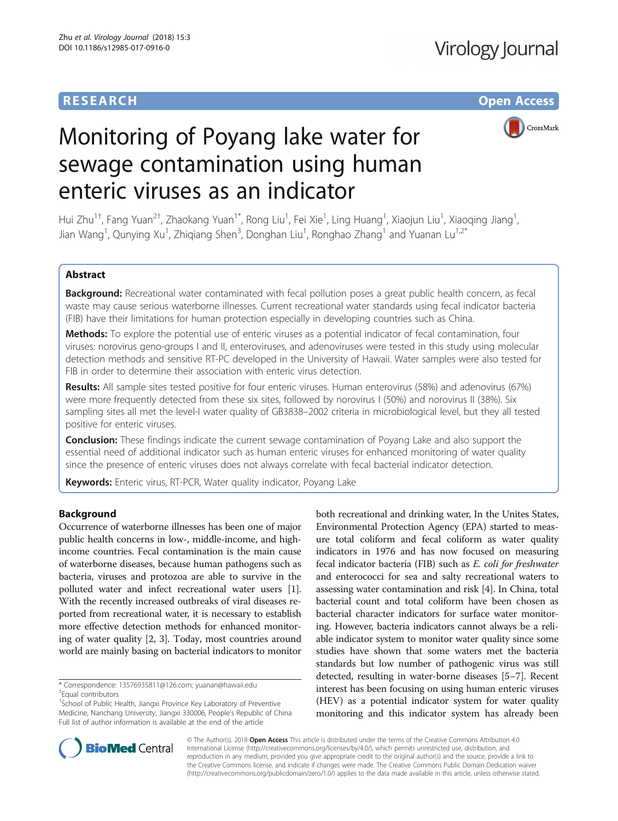# **RESEARCH CHE Open Access**



# Monitoring of Poyang lake water for sewage contamination using human enteric viruses as an indicator

Hui Zhu<sup>1†</sup>, Fang Yuan<sup>2†</sup>, Zhaokang Yuan<sup>1\*</sup>, Rong Liu<sup>1</sup>, Fei Xie<sup>1</sup>, Ling Huang<sup>1</sup>, Xiaojun Liu<sup>1</sup>, Xiaoqing Jiang<sup>1</sup> , Jian Wang<sup>1</sup>, Qunying Xu<sup>1</sup>, Zhiqiang Shen<sup>3</sup>, Donghan Liu<sup>1</sup>, Ronghao Zhang<sup>1</sup> and Yuanan Lu<sup>1,2\*</sup>

# Abstract

Background: Recreational water contaminated with fecal pollution poses a great public health concern, as fecal waste may cause serious waterborne illnesses. Current recreational water standards using fecal indicator bacteria (FIB) have their limitations for human protection especially in developing countries such as China.

Methods: To explore the potential use of enteric viruses as a potential indicator of fecal contamination, four viruses: norovirus geno-groups I and II, enteroviruses, and adenoviruses were tested in this study using molecular detection methods and sensitive RT-PC developed in the University of Hawaii. Water samples were also tested for FIB in order to determine their association with enteric virus detection.

Results: All sample sites tested positive for four enteric viruses. Human enterovirus (58%) and adenovirus (67%) were more frequently detected from these six sites, followed by norovirus I (50%) and norovirus II (38%). Six sampling sites all met the level-I water quality of GB3838–2002 criteria in microbiological level, but they all tested positive for enteric viruses.

**Conclusion:** These findings indicate the current sewage contamination of Poyang Lake and also support the essential need of additional indicator such as human enteric viruses for enhanced monitoring of water quality since the presence of enteric viruses does not always correlate with fecal bacterial indicator detection.

Keywords: Enteric virus, RT-PCR, Water quality indicator, Poyang Lake

# Background

Occurrence of waterborne illnesses has been one of major public health concerns in low-, middle-income, and highincome countries. Fecal contamination is the main cause of waterborne diseases, because human pathogens such as bacteria, viruses and protozoa are able to survive in the polluted water and infect recreational water users [[1](#page-8-0)]. With the recently increased outbreaks of viral diseases reported from recreational water, it is necessary to establish more effective detection methods for enhanced monitoring of water quality [\[2](#page-8-0), [3](#page-8-0)]. Today, most countries around world are mainly basing on bacterial indicators to monitor

\* Correspondence: [13576935811@126.com;](mailto:13576935811@126.com) [yuanan@hawaii.edu](mailto:yuanan@hawaii.edu) †

<sup>+</sup>Equal contributors

<sup>1</sup>School of Public Health, Jiangxi Province Key Laboratory of Preventive Medicine, Nanchang University, Jiangxi 330006, People's Republic of China Full list of author information is available at the end of the article

both recreational and drinking water, In the Unites States, Environmental Protection Agency (EPA) started to measure total coliform and fecal coliform as water quality indicators in 1976 and has now focused on measuring fecal indicator bacteria (FIB) such as E. coli for freshwater and enterococci for sea and salty recreational waters to assessing water contamination and risk [\[4](#page-8-0)]. In China, total bacterial count and total coliform have been chosen as bacterial character indicators for surface water monitoring. However, bacteria indicators cannot always be a reliable indicator system to monitor water quality since some studies have shown that some waters met the bacteria standards but low number of pathogenic virus was still detected, resulting in water-borne diseases [\[5](#page-8-0)–[7](#page-8-0)]. Recent interest has been focusing on using human enteric viruses (HEV) as a potential indicator system for water quality monitoring and this indicator system has already been



© The Author(s). 2018 Open Access This article is distributed under the terms of the Creative Commons Attribution 4.0 International License [\(http://creativecommons.org/licenses/by/4.0/](http://creativecommons.org/licenses/by/4.0/)), which permits unrestricted use, distribution, and reproduction in any medium, provided you give appropriate credit to the original author(s) and the source, provide a link to the Creative Commons license, and indicate if changes were made. The Creative Commons Public Domain Dedication waiver [\(http://creativecommons.org/publicdomain/zero/1.0/](http://creativecommons.org/publicdomain/zero/1.0/)) applies to the data made available in this article, unless otherwise stated.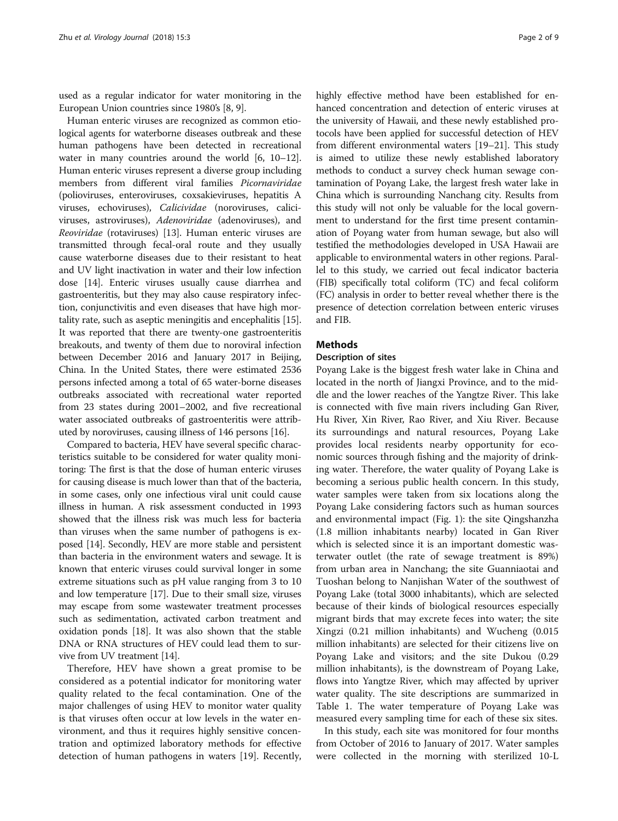used as a regular indicator for water monitoring in the European Union countries since 1980's [[8, 9](#page-8-0)].

Human enteric viruses are recognized as common etiological agents for waterborne diseases outbreak and these human pathogens have been detected in recreational water in many countries around the world [\[6](#page-8-0), [10](#page-8-0)–[12](#page-8-0)]. Human enteric viruses represent a diverse group including members from different viral families Picornaviridae (polioviruses, enteroviruses, coxsakieviruses, hepatitis A viruses, echoviruses), Calicividae (noroviruses, caliciviruses, astroviruses), Adenoviridae (adenoviruses), and Reoviridae (rotaviruses) [\[13\]](#page-8-0). Human enteric viruses are transmitted through fecal-oral route and they usually cause waterborne diseases due to their resistant to heat and UV light inactivation in water and their low infection dose [\[14\]](#page-8-0). Enteric viruses usually cause diarrhea and gastroenteritis, but they may also cause respiratory infection, conjunctivitis and even diseases that have high mortality rate, such as aseptic meningitis and encephalitis [[15](#page-8-0)]. It was reported that there are twenty-one gastroenteritis breakouts, and twenty of them due to noroviral infection between December 2016 and January 2017 in Beijing, China. In the United States, there were estimated 2536 persons infected among a total of 65 water-borne diseases outbreaks associated with recreational water reported from 23 states during 2001–2002, and five recreational water associated outbreaks of gastroenteritis were attributed by noroviruses, causing illness of 146 persons [\[16\]](#page-8-0).

Compared to bacteria, HEV have several specific characteristics suitable to be considered for water quality monitoring: The first is that the dose of human enteric viruses for causing disease is much lower than that of the bacteria, in some cases, only one infectious viral unit could cause illness in human. A risk assessment conducted in 1993 showed that the illness risk was much less for bacteria than viruses when the same number of pathogens is exposed [\[14\]](#page-8-0). Secondly, HEV are more stable and persistent than bacteria in the environment waters and sewage. It is known that enteric viruses could survival longer in some extreme situations such as pH value ranging from 3 to 10 and low temperature [[17](#page-8-0)]. Due to their small size, viruses may escape from some wastewater treatment processes such as sedimentation, activated carbon treatment and oxidation ponds [[18](#page-8-0)]. It was also shown that the stable DNA or RNA structures of HEV could lead them to survive from UV treatment [\[14](#page-8-0)].

Therefore, HEV have shown a great promise to be considered as a potential indicator for monitoring water quality related to the fecal contamination. One of the major challenges of using HEV to monitor water quality is that viruses often occur at low levels in the water environment, and thus it requires highly sensitive concentration and optimized laboratory methods for effective detection of human pathogens in waters [\[19](#page-8-0)]. Recently, highly effective method have been established for en-

hanced concentration and detection of enteric viruses at the university of Hawaii, and these newly established protocols have been applied for successful detection of HEV from different environmental waters [\[19](#page-8-0)–[21](#page-8-0)]. This study is aimed to utilize these newly established laboratory methods to conduct a survey check human sewage contamination of Poyang Lake, the largest fresh water lake in China which is surrounding Nanchang city. Results from this study will not only be valuable for the local government to understand for the first time present contamination of Poyang water from human sewage, but also will testified the methodologies developed in USA Hawaii are applicable to environmental waters in other regions. Parallel to this study, we carried out fecal indicator bacteria (FIB) specifically total coliform (TC) and fecal coliform (FC) analysis in order to better reveal whether there is the presence of detection correlation between enteric viruses and FIB.

# **Methods**

# Description of sites

Poyang Lake is the biggest fresh water lake in China and located in the north of Jiangxi Province, and to the middle and the lower reaches of the Yangtze River. This lake is connected with five main rivers including Gan River, Hu River, Xin River, Rao River, and Xiu River. Because its surroundings and natural resources, Poyang Lake provides local residents nearby opportunity for economic sources through fishing and the majority of drinking water. Therefore, the water quality of Poyang Lake is becoming a serious public health concern. In this study, water samples were taken from six locations along the Poyang Lake considering factors such as human sources and environmental impact (Fig. [1](#page-2-0)): the site Qingshanzha (1.8 million inhabitants nearby) located in Gan River which is selected since it is an important domestic wasterwater outlet (the rate of sewage treatment is 89%) from urban area in Nanchang; the site Guanniaotai and Tuoshan belong to Nanjishan Water of the southwest of Poyang Lake (total 3000 inhabitants), which are selected because of their kinds of biological resources especially migrant birds that may excrete feces into water; the site Xingzi (0.21 million inhabitants) and Wucheng (0.015 million inhabitants) are selected for their citizens live on Poyang Lake and visitors; and the site Dukou (0.29 million inhabitants), is the downstream of Poyang Lake, flows into Yangtze River, which may affected by upriver water quality. The site descriptions are summarized in Table [1](#page-2-0). The water temperature of Poyang Lake was measured every sampling time for each of these six sites.

In this study, each site was monitored for four months from October of 2016 to January of 2017. Water samples were collected in the morning with sterilized 10-L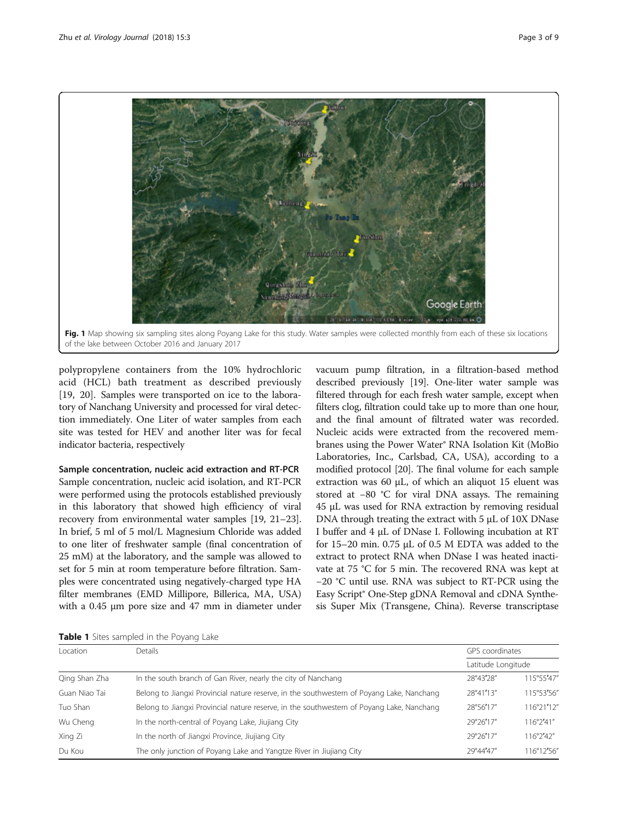<span id="page-2-0"></span>

polypropylene containers from the 10% hydrochloric acid (HCL) bath treatment as described previously [[19, 20\]](#page-8-0). Samples were transported on ice to the laboratory of Nanchang University and processed for viral detection immediately. One Liter of water samples from each site was tested for HEV and another liter was for fecal indicator bacteria, respectively

Sample concentration, nucleic acid extraction and RT-PCR Sample concentration, nucleic acid isolation, and RT-PCR were performed using the protocols established previously in this laboratory that showed high efficiency of viral recovery from environmental water samples [[19](#page-8-0), [21](#page-8-0)–[23](#page-8-0)]. In brief, 5 ml of 5 mol/L Magnesium Chloride was added to one liter of freshwater sample (final concentration of 25 mM) at the laboratory, and the sample was allowed to set for 5 min at room temperature before filtration. Samples were concentrated using negatively-charged type HA filter membranes (EMD Millipore, Billerica, MA, USA) with a 0.45 μm pore size and 47 mm in diameter under

vacuum pump filtration, in a filtration-based method described previously [\[19](#page-8-0)]. One-liter water sample was filtered through for each fresh water sample, except when filters clog, filtration could take up to more than one hour, and the final amount of filtrated water was recorded. Nucleic acids were extracted from the recovered membranes using the Power Water® RNA Isolation Kit (MoBio Laboratories, Inc., Carlsbad, CA, USA), according to a modified protocol [\[20](#page-8-0)]. The final volume for each sample extraction was 60 μL, of which an aliquot 15 eluent was stored at −80 °C for viral DNA assays. The remaining 45 μL was used for RNA extraction by removing residual DNA through treating the extract with 5 μL of 10X DNase I buffer and 4 μL of DNase I. Following incubation at RT for 15–20 min. 0.75 μL of 0.5 M EDTA was added to the extract to protect RNA when DNase I was heated inactivate at 75 °C for 5 min. The recovered RNA was kept at −20 °C until use. RNA was subject to RT-PCR using the Easy Script® One-Step gDNA Removal and cDNA Synthesis Super Mix (Transgene, China). Reverse transcriptase

Table 1 Sites sampled in the Poyang Lake

| Location      | Details                                                                                   |                    | GPS coordinates |  |
|---------------|-------------------------------------------------------------------------------------------|--------------------|-----------------|--|
|               |                                                                                           | Latitude Longitude |                 |  |
| Qing Shan Zha | In the south branch of Gan River, nearly the city of Nanchang                             | 28°43'28"          | 115°55'47″      |  |
| Guan Niao Tai | Belong to Jiangxi Provincial nature reserve, in the southwestern of Poyang Lake, Nanchang | 28°41'13"          | 115°53'56"      |  |
| Tuo Shan      | Belong to Jiangxi Provincial nature reserve, in the southwestern of Poyang Lake, Nanchang | 28°56'17"          | 116°21'12"      |  |
| Wu Cheng      | In the north-central of Poyang Lake, Jiujiang City                                        | 29°26'17"          | 116°2'41''      |  |
| Xing Zi       | In the north of Jiangxi Province, Jiujiang City                                           | 29°26'17"          | 116°2'42″       |  |
| Du Kou        | The only junction of Poyang Lake and Yangtze River in Jiujiang City                       | 29°44'47"          | 116°12'56"      |  |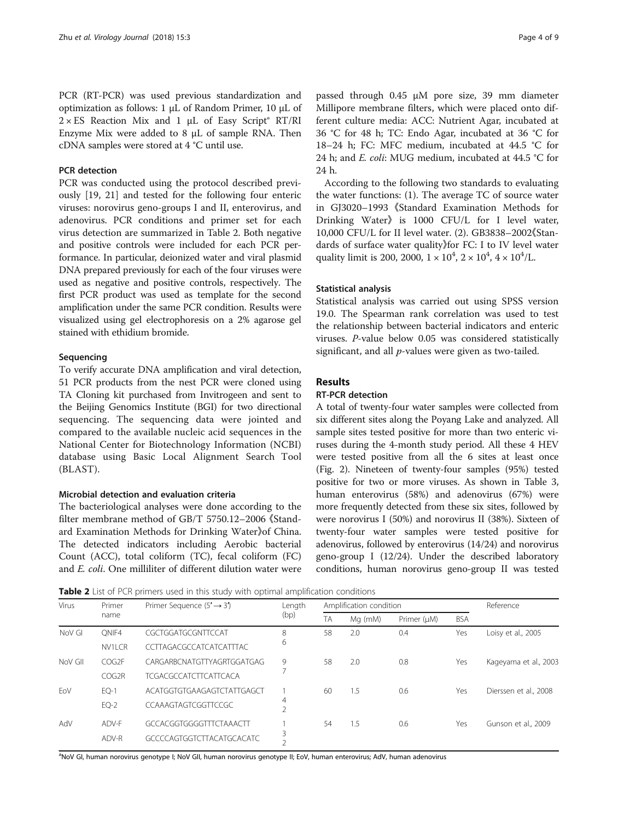PCR (RT-PCR) was used previous standardization and optimization as follows: 1 μL of Random Primer, 10 μL of  $2 \times ES$  Reaction Mix and 1 μL of Easy Script® RT/RI Enzyme Mix were added to 8 μL of sample RNA. Then cDNA samples were stored at 4 °C until use.

# PCR detection

PCR was conducted using the protocol described previously [\[19](#page-8-0), [21](#page-8-0)] and tested for the following four enteric viruses: norovirus geno-groups I and II, enterovirus, and adenovirus. PCR conditions and primer set for each virus detection are summarized in Table 2. Both negative and positive controls were included for each PCR performance. In particular, deionized water and viral plasmid DNA prepared previously for each of the four viruses were used as negative and positive controls, respectively. The first PCR product was used as template for the second amplification under the same PCR condition. Results were visualized using gel electrophoresis on a 2% agarose gel stained with ethidium bromide.

#### Sequencing

To verify accurate DNA amplification and viral detection, 51 PCR products from the nest PCR were cloned using TA Cloning kit purchased from Invitrogeen and sent to the Beijing Genomics Institute (BGI) for two directional sequencing. The sequencing data were jointed and compared to the available nucleic acid sequences in the National Center for Biotechnology Information (NCBI) database using Basic Local Alignment Search Tool (BLAST).

# Microbial detection and evaluation criteria

The bacteriological analyses were done according to the filter membrane method of GB/T 5750.12–2006 《Standard Examination Methods for Drinking Water》of China. The detected indicators including Aerobic bacterial Count (ACC), total coliform (TC), fecal coliform (FC) and E. coli. One milliliter of different dilution water were

passed through 0.45 μM pore size, 39 mm diameter Millipore membrane filters, which were placed onto different culture media: ACC: Nutrient Agar, incubated at 36 °C for 48 h; TC: Endo Agar, incubated at 36 °C for 18–24 h; FC: MFC medium, incubated at 44.5 °C for 24 h; and *E. coli*: MUG medium, incubated at 44.5 °C for 24 h.

According to the following two standards to evaluating the water functions: (1). The average TC of source water in GJ3020–1993 《Standard Examination Methods for Drinking Water》 is 1000 CFU/L for I level water, 10,000 CFU/L for II level water. (2). GB3838–2002《Standards of surface water quality》for FC: I to IV level water quality limit is 200, 2000,  $1 \times 10^4$ ,  $2 \times 10^4$ ,  $4 \times 10^4$ /L.

## Statistical analysis

Statistical analysis was carried out using SPSS version 19.0. The Spearman rank correlation was used to test the relationship between bacterial indicators and enteric viruses. P-value below 0.05 was considered statistically significant, and all p-values were given as two-tailed.

# Results

## RT-PCR detection

A total of twenty-four water samples were collected from six different sites along the Poyang Lake and analyzed. All sample sites tested positive for more than two enteric viruses during the 4-month study period. All these 4 HEV were tested positive from all the 6 sites at least once (Fig. [2](#page-4-0)). Nineteen of twenty-four samples (95%) tested positive for two or more viruses. As shown in Table [3](#page-5-0), human enterovirus (58%) and adenovirus (67%) were more frequently detected from these six sites, followed by were norovirus I (50%) and norovirus II (38%). Sixteen of twenty-four water samples were tested positive for adenovirus, followed by enterovirus (14/24) and norovirus geno-group I (12/24). Under the described laboratory conditions, human norovirus geno-group II was tested

**Table 2** List of PCR primers used in this study with optimal amplification conditions

| Virus   | Primer | Primer Sequence $(5' \rightarrow 3')$ | Length  |    | Amplification condition | Reference   |            |                       |  |
|---------|--------|---------------------------------------|---------|----|-------------------------|-------------|------------|-----------------------|--|
|         | name   |                                       | (bp)    | TA | Mg (mM)                 | Primer (µM) | <b>BSA</b> |                       |  |
| NoV GI  | ONIF4  | CGCTGGATGCGNTTCCAT                    | 8       | 58 | 2.0                     | 0.4         | Yes        | Loisy et al., 2005    |  |
|         | NV1LCR | <b>CCTTAGACGCCATCATCATTTAC</b>        | 6       |    |                         |             |            |                       |  |
| NoV GII | COG2F  | CARGARBCNATGTTYAGRTGGATGAG            | 9       | 58 | 2.0                     | 0.8         | Yes        | Kageyama et al., 2003 |  |
|         | COG2R  | <b>TCGACGCCATCTTCATTCACA</b>          |         |    |                         |             |            |                       |  |
| FoV     | $EQ-1$ | ACATGGTGTGAAGAGTCTATTGAGCT            |         | 60 | 1.5                     | 0.6         | Yes        | Dierssen et al., 2008 |  |
|         | $EQ-2$ | CCAAAGTAGTCGGTTCCGC                   | 4<br>C. |    |                         |             |            |                       |  |
| AdV     | ADV-F  | GCCACGGTGGGGTTTCTAAACTT               |         | 54 | 1.5                     | 0.6         | Yes        | Gunson et al., 2009   |  |
|         | ADV-R  | GCCCCAGTGGTCTTACATGCACATC             |         |    |                         |             |            |                       |  |

a NoV GI, human norovirus genotype I; NoV GII, human norovirus genotype II; EoV, human enterovirus; AdV, human adenovirus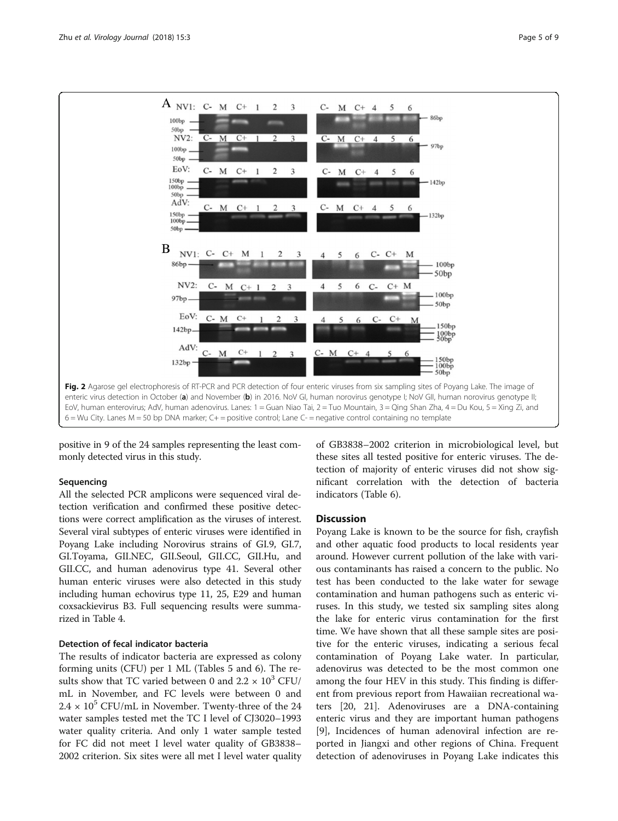<span id="page-4-0"></span>

positive in 9 of the 24 samples representing the least commonly detected virus in this study.

## Sequencing

All the selected PCR amplicons were sequenced viral detection verification and confirmed these positive detections were correct amplification as the viruses of interest. Several viral subtypes of enteric viruses were identified in Poyang Lake including Norovirus strains of GI.9, GI.7, GI.Toyama, GII.NEC, GII.Seoul, GII.CC, GII.Hu, and GII.CC, and human adenovirus type 41. Several other human enteric viruses were also detected in this study including human echovirus type 11, 25, E29 and human coxsackievirus B3. Full sequencing results were summarized in Table [4.](#page-6-0)

# Detection of fecal indicator bacteria

The results of indicator bacteria are expressed as colony forming units (CFU) per 1 ML (Tables [5](#page-7-0) and [6\)](#page-7-0). The results show that TC varied between 0 and  $2.2 \times 10^3$  CFU/ mL in November, and FC levels were between 0 and  $2.4 \times 10^5$  CFU/mL in November. Twenty-three of the 24 water samples tested met the TC I level of CJ3020–1993 water quality criteria. And only 1 water sample tested for FC did not meet I level water quality of GB3838– 2002 criterion. Six sites were all met I level water quality

of GB3838–2002 criterion in microbiological level, but these sites all tested positive for enteric viruses. The detection of majority of enteric viruses did not show significant correlation with the detection of bacteria indicators (Table [6](#page-7-0)).

# **Discussion**

Poyang Lake is known to be the source for fish, crayfish and other aquatic food products to local residents year around. However current pollution of the lake with various contaminants has raised a concern to the public. No test has been conducted to the lake water for sewage contamination and human pathogens such as enteric viruses. In this study, we tested six sampling sites along the lake for enteric virus contamination for the first time. We have shown that all these sample sites are positive for the enteric viruses, indicating a serious fecal contamination of Poyang Lake water. In particular, adenovirus was detected to be the most common one among the four HEV in this study. This finding is different from previous report from Hawaiian recreational waters [[20, 21\]](#page-8-0). Adenoviruses are a DNA-containing enteric virus and they are important human pathogens [[9\]](#page-8-0), Incidences of human adenoviral infection are reported in Jiangxi and other regions of China. Frequent detection of adenoviruses in Poyang Lake indicates this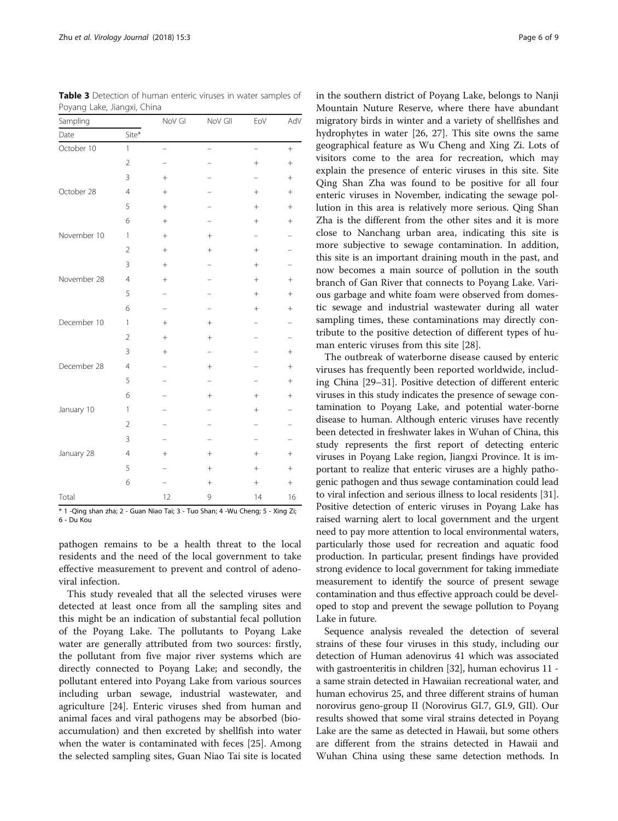| Sampling    |                | NoV GI           | NoV GII | EoV                      | AdV              |
|-------------|----------------|------------------|---------|--------------------------|------------------|
| Date        | Site*          |                  |         |                          |                  |
| October 10  | $\mathbf{1}$   |                  |         |                          | $^{+}$           |
|             | $\overline{2}$ | -                |         | $^{+}$                   | $^{+}$           |
|             | 3              | $^{+}$           |         | $\overline{\phantom{0}}$ | $^{+}$           |
| October 28  | $\overline{4}$ | $^{+}$           |         | $^{+}$                   | $^{+}$           |
|             | 5              | $^{+}$           |         | $^{+}$                   | $^{+}$           |
|             | 6              | $^{+}$           |         | $^{+}$                   | $^{+}$           |
| November 10 | $\mathbf{1}$   | $^{+}$           | $^{+}$  |                          |                  |
|             | $\overline{2}$ | $\boldsymbol{+}$ | $^{+}$  | $^{+}$                   |                  |
|             | 3              | $^{+}$           |         | $^{+}$                   |                  |
| November 28 | $\overline{4}$ | $^{+}$           |         | $^{+}$                   | $\boldsymbol{+}$ |
|             | 5              |                  |         | $+$                      | $^{+}$           |
|             | 6              |                  |         | $^{+}$                   | $\! + \!$        |
| December 10 | $\mathbf{1}$   | $+$              | $^{+}$  |                          |                  |
|             | $\overline{2}$ | $^{+}$           | $^{+}$  |                          |                  |
|             | 3              | $^{+}$           |         |                          | $^{+}$           |
| December 28 | $\overline{4}$ |                  | $^{+}$  |                          | $^{+}$           |
|             | 5              |                  |         |                          | $^{+}$           |
|             | 6              |                  | $^{+}$  | $^{+}$                   | $^+$             |
| January 10  | 1              |                  |         | $^{+}$                   |                  |
|             | $\overline{2}$ |                  |         |                          |                  |
|             | 3              |                  |         |                          |                  |
| January 28  | $\overline{4}$ | $^{+}$           | $^{+}$  | $^{+}$                   | $^{+}$           |
|             | 5              |                  |         | $\! + \!$                | $^{+}$           |
|             | 6              |                  | $\! +$  | $^{+}$                   | $^{+}$           |
| Total       |                | 12               | 9       | 14                       | 16               |

<span id="page-5-0"></span>Table 3 Detection of human enteric viruses in water samples of Poyang Lake, Jiangxi, China

\* 1 -Qing shan zha; 2 - Guan Niao Tai; 3 - Tuo Shan; 4 -Wu Cheng; 5 - Xing Zi; 6 - Du Kou

pathogen remains to be a health threat to the local residents and the need of the local government to take effective measurement to prevent and control of adenoviral infection.

This study revealed that all the selected viruses were detected at least once from all the sampling sites and this might be an indication of substantial fecal pollution of the Poyang Lake. The pollutants to Poyang Lake water are generally attributed from two sources: firstly, the pollutant from five major river systems which are directly connected to Poyang Lake; and secondly, the pollutant entered into Poyang Lake from various sources including urban sewage, industrial wastewater, and agriculture [[24](#page-8-0)]. Enteric viruses shed from human and animal faces and viral pathogens may be absorbed (bioaccumulation) and then excreted by shellfish into water when the water is contaminated with feces [[25](#page-8-0)]. Among the selected sampling sites, Guan Niao Tai site is located

in the southern district of Poyang Lake, belongs to Nanji Mountain Nuture Reserve, where there have abundant migratory birds in winter and a variety of shellfishes and hydrophytes in water [\[26](#page-8-0), [27](#page-8-0)]. This site owns the same geographical feature as Wu Cheng and Xing Zi. Lots of visitors come to the area for recreation, which may explain the presence of enteric viruses in this site. Site Qing Shan Zha was found to be positive for all four enteric viruses in November, indicating the sewage pollution in this area is relatively more serious. Qing Shan Zha is the different from the other sites and it is more close to Nanchang urban area, indicating this site is more subjective to sewage contamination. In addition, this site is an important draining mouth in the past, and now becomes a main source of pollution in the south branch of Gan River that connects to Poyang Lake. Various garbage and white foam were observed from domestic sewage and industrial wastewater during all water sampling times, these contaminations may directly contribute to the positive detection of different types of human enteric viruses from this site [\[28](#page-8-0)].

The outbreak of waterborne disease caused by enteric viruses has frequently been reported worldwide, including China [\[29](#page-8-0)–[31\]](#page-8-0). Positive detection of different enteric viruses in this study indicates the presence of sewage contamination to Poyang Lake, and potential water-borne disease to human. Although enteric viruses have recently been detected in freshwater lakes in Wuhan of China, this study represents the first report of detecting enteric viruses in Poyang Lake region, Jiangxi Province. It is important to realize that enteric viruses are a highly pathogenic pathogen and thus sewage contamination could lead to viral infection and serious illness to local residents [[31](#page-8-0)]. Positive detection of enteric viruses in Poyang Lake has raised warning alert to local government and the urgent need to pay more attention to local environmental waters, particularly those used for recreation and aquatic food production. In particular, present findings have provided strong evidence to local government for taking immediate measurement to identify the source of present sewage contamination and thus effective approach could be developed to stop and prevent the sewage pollution to Poyang Lake in future.

Sequence analysis revealed the detection of several strains of these four viruses in this study, including our detection of Human adenovirus 41 which was associated with gastroenteritis in children [\[32\]](#page-8-0), human echovirus 11 a same strain detected in Hawaiian recreational water, and human echovirus 25, and three different strains of human norovirus geno-group II (Norovirus GI.7, GI.9, GII). Our results showed that some viral strains detected in Poyang Lake are the same as detected in Hawaii, but some others are different from the strains detected in Hawaii and Wuhan China using these same detection methods. In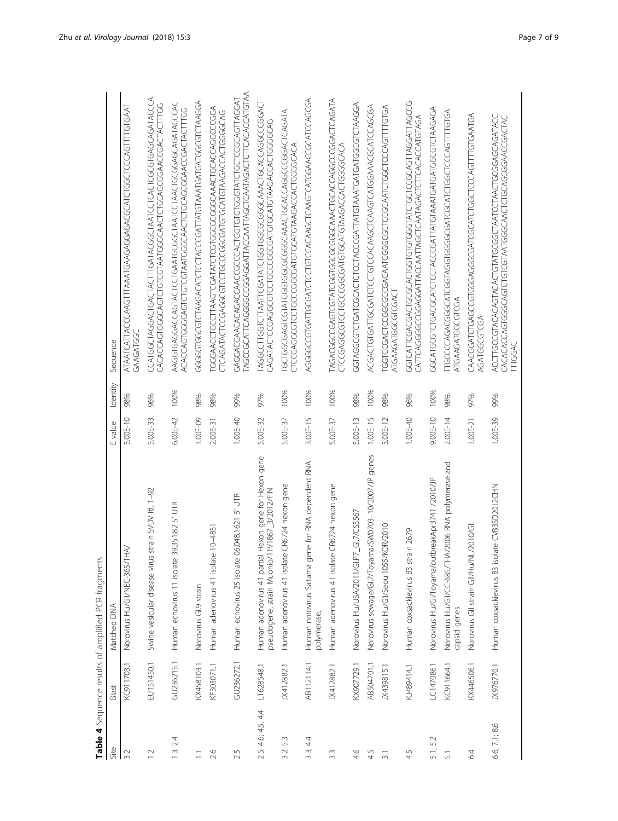<span id="page-6-0"></span>

| 5<br>3<br>5<br>5   |            | contribution that the contribution of the control of the control of the control of the control of the control of the control of the control of the control of the control of the control of the control of the control of the |              |          |                                                                                                                              |
|--------------------|------------|-------------------------------------------------------------------------------------------------------------------------------------------------------------------------------------------------------------------------------|--------------|----------|------------------------------------------------------------------------------------------------------------------------------|
| Site               | Blast      | Matched DNA                                                                                                                                                                                                                   | E value      | Identity | Sequence                                                                                                                     |
| 3.2                | KC911703.1 | Norovirus Hu/GII/NEC-365/THA/                                                                                                                                                                                                 | 5.00E-10     | 98%      | ATAATCATTACCCAAGTTTAAATGAAGGAGCATCTGGCTCCCAGTTTTGTGAAT<br>GAAGATGGC                                                          |
| $\overline{C}$     | EU151450.1 | Swine vesicular disease virus strain SVDV Itl. 1-92                                                                                                                                                                           | 5.00E-33     | 96%      | CCATGGCTAGGACTGACTTTGATACGGCTAATCCTCACTGGGGTGAGCATACCCA<br>CACACTGGGCAGTCTGTGGAATGGGCAACTCTGCAGCGGAACCGACTACTTTGG            |
| 1.3; 2.4           | GU236215.1 | Human echovirus 11 isolate 39,351.82 5' UTR                                                                                                                                                                                   | $6.00E-42$   | 100%     | AAGGTGAGGACCAGTACTGATGCGGCTAATCCTAACCGAGGAGCAGATACCAC<br>ACACGGGGGGGGGGATCGTCATGGGAGCAGCGGAGGGACCGATTGG                      |
| $\Xi$              | KX458103.1 | Norovirus GI.9 strain                                                                                                                                                                                                         | 1.00E-09     | 98%      | GGGGGGGGCGTCTAAGACATCTCCCGATTATGTAAATGATGGCGTCTAAGGA                                                                         |
| 2.6                | KF303071.1 | Human adenovirus 41 isolate 10-4851                                                                                                                                                                                           | $2.00E-31$   | 98%      | IGGGAACCTTAAGTCGATATATCGGGGGGGGAAACTGACGGGGGGGA                                                                              |
| 25                 | GU236272.1 | Human echovirus 25 isolate 06.048.1621 5' UTR                                                                                                                                                                                 | 1.00E-40     | 99%      | KALUKUJKULTUTUVSKATKUTUSKILKGUJKUSUUJUUUSUSULKUUJUUUUSULKUTUKUJKU<br>GAGGAACGAACAGACCAACCGCCCACTGGTGTGGGTATCTGCTCGCAGTTAGGAT |
| 2.5; 4.6; 4.5; 4.4 | LT628548.1 | Hexon gene for Hexon gene<br>1V1867_3/2012/FIN<br>pseudogene, strain Muonio/1<br>Human adenovirus 41 partial                                                                                                                  | 5.00E-32     | 97%      | TAGGCCTTGGTCTTAATTCGATATCTGGTGGGGGAAACTGCACCAGGCCCGGACT<br>CAGATACTCCGAGGCGTCCCGGGGATGTAAGTAAGACCACGGGGGAG                   |
| 53<br>3.2;         | JX412882.1 | CR6724 hexon gene<br>Human adenovirus 41 isolate                                                                                                                                                                              | 5.00E-37     | 100%     | IGCIGGCGAGTCGTATCGGGGGGGGAACTGCAGGCGGGCGGGACTCAGATA<br>CTCCGAGGCGTCCTGCCGGCGATGTGCATGTAAGACCACTGGGGCACA                      |
| 3.3; 4.4           | AB112114.1 | ne for RNA dependent RNA<br>Human norovirus Saitama ge<br>polymerase,                                                                                                                                                         | 3.00E-15     | 100%     | AGGGGCCGTGATTGCGATCTGTCCAGCTCAAGTCATGGAACCGCATCCAGCGA                                                                        |
| 3.3                | JX412882.1 | CR6724 hexon gene<br>Human adenovirus 41 isolate                                                                                                                                                                              | 5.00E-37     | 100%     | CTCCGAGGCGTCCTGCCGGGGGATGTGAAGACCACTGGGGCACA                                                                                 |
| 4.6                | KX907729.1 | $-Gl.7/CS5567$<br>Norovirus Hu/USA/2011/GI.P7                                                                                                                                                                                 | $5.00E-13$   | 98%      | GGTAGGCGTCTGATCGCACTCCGATTATGTAAATGATGATGCGTCTAAGGA                                                                          |
| 4.5                | AB504701.1 | Norovirus sewage/Gl.7/Toyama/SW0703-10/2007/JP genes                                                                                                                                                                          | 1.00E-15     | 100%     | ACGACTGTGATTGCGATCTGTCCACAAGCTCAAGTCATGGAAACGCATCCAGCGA                                                                      |
| $\overline{3}$ .   | JX439815.1 | Norovirus Hu/GII/Seoul1055/KOR/2010                                                                                                                                                                                           | 3.00E-12     | 98%      | IGGICCGACTCCGGCGGCGGGGGCGCCGAATCTGGCTCCCGCTCCAGTTTGTGA<br>ATGAAGGCGICGAT                                                     |
| 4.5                | KJ489414.1 | Human coxsackievirus B3 strain 2679                                                                                                                                                                                           | 1.00E-40     | 96%      | GGTCATTCGACGACTGCGCACTGTGTGTATCTGCTCCGCAGTTAGGATTAGCCG<br>CATTCAGGGGCCGGAGGATTACCAATTAGCTCAATAGACTCTTCACCATGTAGA             |
| 5.1; 5.2           | LC147086.1 | Norovirus Hu/Gl/Toyama/outbreakApr3741 /2010/JP                                                                                                                                                                               | $9.00E-10$   | 100%     | GGCATGCGTCTGACGCATCLATGTAAATGTAAATGATGATGGCGTCTAAGAGA                                                                        |
| $\overline{51}$    | KC911664.1 | Norovirus Hu/GII/CC-685/THA/2006 RNA polymerase and<br>capsid genes                                                                                                                                                           | $2.00E-14$   | 98%      | TTGCCCCAGACGGGCATCGGTAGGTGGGCGATCTGGCTCCCAGTTTTGTGA<br>ATGAAGGTCGTCGA                                                        |
| 64                 | KX446506.1 | /2010/GII<br>Norovirus GII strain GII/Hu/NL                                                                                                                                                                                   | $1.00E-21$   | 97%      | CAACGGATCTGAGCCGTGGGGGGGCATCTGGCTCCCATTTTGTGAATGA<br>AGATGGCGTCGA                                                            |
| 6.6; 7.1; 8.6      | JX976770.1 | Human coxsackievirus B3 isolate CVB3SD2012CHN                                                                                                                                                                                 | $1.00E - 39$ | 99%      | ACCITGCCGTACACAGTACACTGTATGCGGCTAATCCTAACTGCGGAGCAGATACC<br>CACACAGTGGGCAGTCTGTCGTAATGGGCAACTCTGCAGCGAACCGACTAC<br>TTGGAC    |

Table 4 Sequence results of amplified PCR fragments Table 4 Sequence results of amplified PCR fragments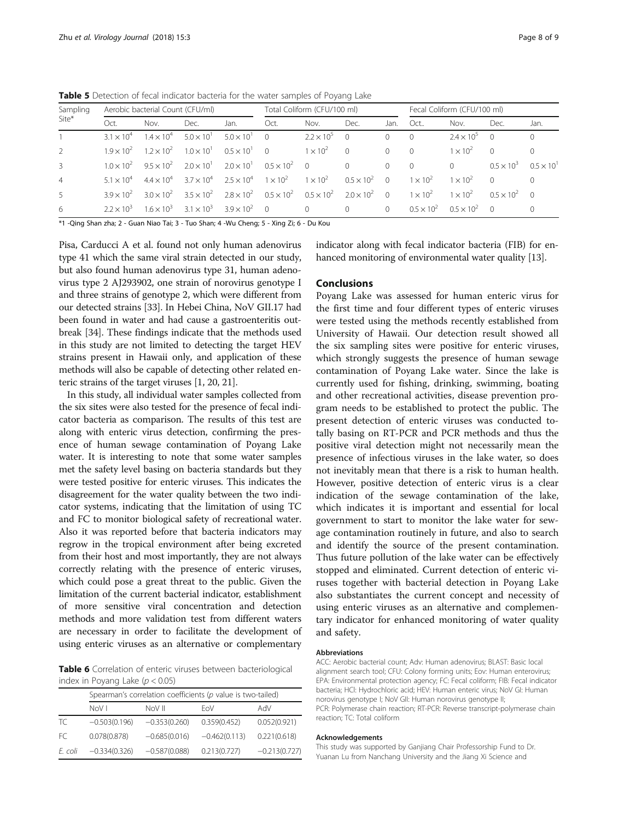<span id="page-7-0"></span>Table 5 Detection of fecal indicator bacteria for the water samples of Poyang Lake

| Sampling       | Aerobic bacterial Count (CFU/ml) |                     |                                     |                     | Total Coliform (CFU/100 ml) |                     |                     |            | Fecal Coliform (CFU/100 ml) |                     |                     |                     |
|----------------|----------------------------------|---------------------|-------------------------------------|---------------------|-----------------------------|---------------------|---------------------|------------|-----------------------------|---------------------|---------------------|---------------------|
| Site*          | Oct.                             | Nov.                | Dec.                                | Jan.                | Oct.                        | Nov.                | Dec.                | Jan.       | Oct                         | Nov.                | Dec.                | Jan.                |
|                | $31 \times 10^{4}$               | $1.4 \times 10^{4}$ | $5.0 \times 10^{1}$                 | $5.0 \times 10^{1}$ | $\Omega$                    | $22 \times 10^5$    | $\Omega$            |            | $\Omega$                    | $2.4 \times 10^5$   | $\Omega$            | $\Omega$            |
| $\overline{2}$ | $19 \times 10^{2}$               | $12 \times 10^{2}$  | $10 \times 10^{1}$                  | $0.5 \times 10^{1}$ | $\Omega$                    | $1 \times 10^{2}$   | $\Omega$            | $\Omega$   | $\Omega$                    | $1 \times 10^2$     | $\Omega$            | $\Omega$            |
| $\overline{3}$ | $10 \times 10^{2}$               | $95 \times 10^{2}$  | $2.0 \times 10^{1}$                 | $20 \times 10^{1}$  | $0.5 \times 10^{2}$         | $\Omega$            | $\Omega$            | $\Omega$   | $\Omega$                    | $\Omega$            | $0.5 \times 10^{3}$ | $0.5 \times 10^{1}$ |
| $\overline{4}$ | $5.1 \times 10^{4}$              | $44 \times 10^{4}$  | $3.7 \times 10^{4}$                 | $25 \times 10^{4}$  | $1 \times 10^2$             | $1 \times 10^2$     | $0.5 \times 10^{2}$ | $\bigcirc$ | $1 \times 10^2$             | $1 \times 10^{2}$   | $\Omega$            |                     |
| 5              | $39 \times 10^{2}$               | $3.0 \times 10^{2}$ | $3.5 \times 10^{2}$                 | $28 \times 10^{2}$  | $0.5 \times 10^{2}$         | $0.5 \times 10^{2}$ | $20 \times 10^{2}$  | $\bigcirc$ | $1 \times 10^2$             | $1 \times 10^2$     | $0.5 \times 10^{2}$ | $\Omega$            |
| 6              | $22 \times 10^3$                 | $16 \times 10^3$    | $3.1 \times 10^3$ $3.9 \times 10^2$ |                     | $\bigcirc$                  | $\Omega$            | $\Omega$            | $\Omega$   | $0.5 \times 10^{2}$         | $0.5 \times 10^{2}$ | $\Omega$            | $\Omega$            |

\*1 -Qing Shan zha; 2 - Guan Niao Tai; 3 - Tuo Shan; 4 -Wu Cheng; 5 - Xing Zi; 6 - Du Kou

Pisa, Carducci A et al. found not only human adenovirus type 41 which the same viral strain detected in our study, but also found human adenovirus type 31, human adenovirus type 2 AJ293902, one strain of norovirus genotype I and three strains of genotype 2, which were different from our detected strains [[33](#page-8-0)]. In Hebei China, NoV GII.17 had been found in water and had cause a gastroenteritis outbreak [\[34\]](#page-8-0). These findings indicate that the methods used in this study are not limited to detecting the target HEV strains present in Hawaii only, and application of these methods will also be capable of detecting other related enteric strains of the target viruses [\[1](#page-8-0), [20](#page-8-0), [21\]](#page-8-0).

In this study, all individual water samples collected from the six sites were also tested for the presence of fecal indicator bacteria as comparison. The results of this test are along with enteric virus detection, confirming the presence of human sewage contamination of Poyang Lake water. It is interesting to note that some water samples met the safety level basing on bacteria standards but they were tested positive for enteric viruses. This indicates the disagreement for the water quality between the two indicator systems, indicating that the limitation of using TC and FC to monitor biological safety of recreational water. Also it was reported before that bacteria indicators may regrow in the tropical environment after being excreted from their host and most importantly, they are not always correctly relating with the presence of enteric viruses, which could pose a great threat to the public. Given the limitation of the current bacterial indicator, establishment of more sensitive viral concentration and detection methods and more validation test from different waters are necessary in order to facilitate the development of using enteric viruses as an alternative or complementary

Table 6 Correlation of enteric viruses between bacteriological index in Poyang Lake ( $p < 0.05$ )

|         | Spearman's correlation coefficients (p value is two-tailed) |                 |                 |                 |  |  |  |
|---------|-------------------------------------------------------------|-----------------|-----------------|-----------------|--|--|--|
|         | NoV <sub>I</sub>                                            | NoV II          | FoV             | AdV             |  |  |  |
| TC.     | $-0.503(0.196)$                                             | $-0.353(0.260)$ | 0.359(0.452)    | 0.052(0.921)    |  |  |  |
| FC.     | 0.078(0.878)                                                | $-0.685(0.016)$ | $-0.462(0.113)$ | 0.221(0.618)    |  |  |  |
| E. coli | $-0.334(0.326)$                                             | $-0.587(0.088)$ | 0.213(0.727)    | $-0.213(0.727)$ |  |  |  |

indicator along with fecal indicator bacteria (FIB) for enhanced monitoring of environmental water quality [\[13\]](#page-8-0).

# Conclusions

Poyang Lake was assessed for human enteric virus for the first time and four different types of enteric viruses were tested using the methods recently established from University of Hawaii. Our detection result showed all the six sampling sites were positive for enteric viruses, which strongly suggests the presence of human sewage contamination of Poyang Lake water. Since the lake is currently used for fishing, drinking, swimming, boating and other recreational activities, disease prevention program needs to be established to protect the public. The present detection of enteric viruses was conducted totally basing on RT-PCR and PCR methods and thus the positive viral detection might not necessarily mean the presence of infectious viruses in the lake water, so does not inevitably mean that there is a risk to human health. However, positive detection of enteric virus is a clear indication of the sewage contamination of the lake, which indicates it is important and essential for local government to start to monitor the lake water for sewage contamination routinely in future, and also to search and identify the source of the present contamination. Thus future pollution of the lake water can be effectively stopped and eliminated. Current detection of enteric viruses together with bacterial detection in Poyang Lake also substantiates the current concept and necessity of using enteric viruses as an alternative and complementary indicator for enhanced monitoring of water quality and safety.

#### Abbreviations

ACC: Aerobic bacterial count; Adv: Human adenovirus; BLAST: Basic local alignment search tool; CFU: Colony forming units; Eov: Human enterovirus; EPA: Environmental protection agency; FC: Fecal coliform; FIB: Fecal indicator bacteria; HCl: Hydrochloric acid; HEV: Human enteric virus; NoV GI: Human norovirus genotype I; NoV GII: Human norovirus genotype II; PCR: Polymerase chain reaction; RT-PCR: Reverse transcript-polymerase chain reaction; TC: Total coliform

#### Acknowledgements

This study was supported by Ganjiang Chair Professorship Fund to Dr. Yuanan Lu from Nanchang University and the Jiang Xi Science and